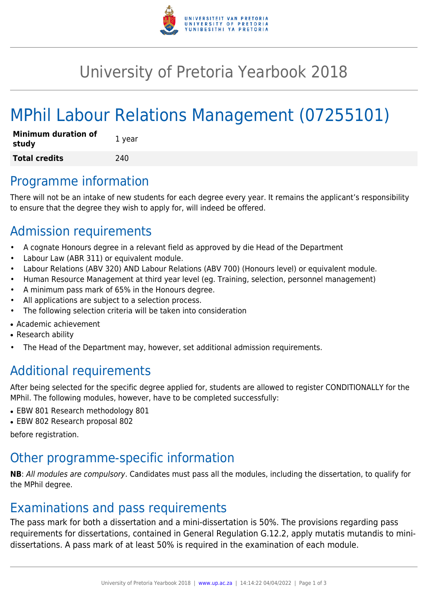

## University of Pretoria Yearbook 2018

# MPhil Labour Relations Management (07255101)

| <b>Minimum duration of</b><br>study | 1 year |
|-------------------------------------|--------|
| <b>Total credits</b>                | 240    |

#### Programme information

There will not be an intake of new students for each degree every year. It remains the applicant's responsibility to ensure that the degree they wish to apply for, will indeed be offered.

### Admission requirements

- A cognate Honours degree in a relevant field as approved by die Head of the Department
- Labour Law (ABR 311) or equivalent module.
- Labour Relations (ABV 320) AND Labour Relations (ABV 700) (Honours level) or equivalent module.
- Human Resource Management at third year level (eg. Training, selection, personnel management)
- A minimum pass mark of 65% in the Honours degree.
- All applications are subject to a selection process.
- The following selection criteria will be taken into consideration
- Academic achievement
- Research ability
- The Head of the Department may, however, set additional admission requirements.

## Additional requirements

After being selected for the specific degree applied for, students are allowed to register CONDITIONALLY for the MPhil. The following modules, however, have to be completed successfully:

- EBW 801 Research methodology 801
- EBW 802 Research proposal 802

before registration.

#### Other programme-specific information

**NB**: All modules are compulsory. Candidates must pass all the modules, including the dissertation, to qualify for the MPhil degree.

#### Examinations and pass requirements

The pass mark for both a dissertation and a mini-dissertation is 50%. The provisions regarding pass requirements for dissertations, contained in General Regulation G.12.2, apply mutatis mutandis to minidissertations. A pass mark of at least 50% is required in the examination of each module.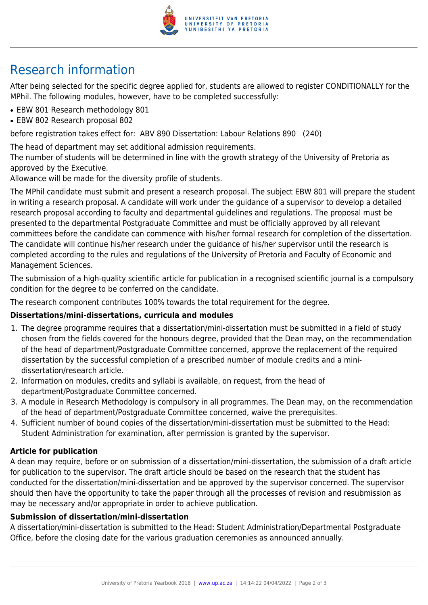

## Research information

After being selected for the specific degree applied for, students are allowed to register CONDITIONALLY for the MPhil. The following modules, however, have to be completed successfully:

- EBW 801 Research methodology 801
- EBW 802 Research proposal 802

before registration takes effect for: ABV 890 Dissertation: Labour Relations 890 (240)

The head of department may set additional admission requirements.

The number of students will be determined in line with the growth strategy of the University of Pretoria as approved by the Executive.

Allowance will be made for the diversity profile of students.

The MPhil candidate must submit and present a research proposal. The subject EBW 801 will prepare the student in writing a research proposal. A candidate will work under the guidance of a supervisor to develop a detailed research proposal according to faculty and departmental guidelines and regulations. The proposal must be presented to the departmental Postgraduate Committee and must be officially approved by all relevant committees before the candidate can commence with his/her formal research for completion of the dissertation. The candidate will continue his/her research under the guidance of his/her supervisor until the research is completed according to the rules and regulations of the University of Pretoria and Faculty of Economic and Management Sciences.

The submission of a high-quality scientific article for publication in a recognised scientific journal is a compulsory condition for the degree to be conferred on the candidate.

The research component contributes 100% towards the total requirement for the degree.

#### **Dissertations/mini-dissertations, curricula and modules**

- 1. The degree programme requires that a dissertation/mini-dissertation must be submitted in a field of study chosen from the fields covered for the honours degree, provided that the Dean may, on the recommendation of the head of department/Postgraduate Committee concerned, approve the replacement of the required dissertation by the successful completion of a prescribed number of module credits and a minidissertation/research article.
- 2. Information on modules, credits and syllabi is available, on request, from the head of department/Postgraduate Committee concerned.
- 3. A module in Research Methodology is compulsory in all programmes. The Dean may, on the recommendation of the head of department/Postgraduate Committee concerned, waive the prerequisites.
- 4. Sufficient number of bound copies of the dissertation/mini-dissertation must be submitted to the Head: Student Administration for examination, after permission is granted by the supervisor.

#### **Article for publication**

A dean may require, before or on submission of a dissertation/mini-dissertation, the submission of a draft article for publication to the supervisor. The draft article should be based on the research that the student has conducted for the dissertation/mini-dissertation and be approved by the supervisor concerned. The supervisor should then have the opportunity to take the paper through all the processes of revision and resubmission as may be necessary and/or appropriate in order to achieve publication.

#### **Submission of dissertation/mini-dissertation**

A dissertation/mini-dissertation is submitted to the Head: Student Administration/Departmental Postgraduate Office, before the closing date for the various graduation ceremonies as announced annually.